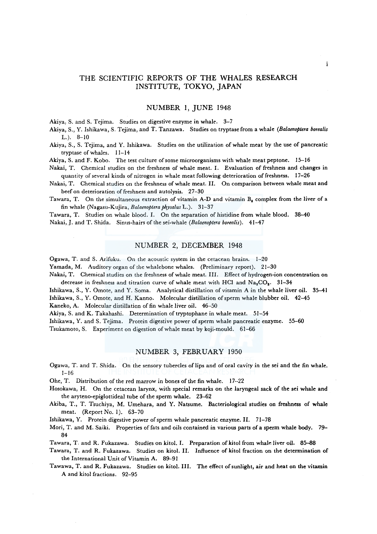# THE SCIENTIFIC REPORTS OF THE WHALES RESEARCH INSTITUTE, TOKYO, JAPAN

### NUMBER 1, JUNE 1948

Akiya, S. and S. Tejima. Studies on digestive enzyme in whale. 3-7

Akiya, S., Y. Ishikawa, S. Tejima, and T. Tanzawa. Studies on tryptase from a whale *(Balaenoptera borealis*   $L.$ ).  $8-10$ 

Akiya, S., S. Tejima, and Y. Ishikawa. Studies on the utilization of whale meat by the use of pancreatic tryptase of whales. 11-14

Akiya, S. and F. Kobo. The test culture of some microorganisms with whale meat peptone. 15-16

Nakai, T. Chemical studies on the freshness of whale meat. I. Evaluation of freshness and changes in quantity of several kinds of nitrogen in whale meat following deterioration of freshness. 17-26

Nakai, T. Chemical studies on the freshness of whale meat. II. On comparison between whale meat and beef on deterioration of freshness and autolysis. 27-30

Tawara, T. On the simultaneous extraction of vitamin A-D and vitamin B, complex from the liver of a fin whale (Nagasu-Kujira, *Balaenoptera physalus* L.). 31-37

Tawara, T. Studies on whale blood. I. On the separation of histidine from whale blood. 38-40 Nakai,,J. and T. Shida. Sinus-hairs of the sei-whale *(Balaenoptera borealis).* 41-47

# NUMBER 2, DECEMBER 1948

Ogawa, T. and S. Arifuku. On the acoustic system in the cetacean brains. 1-20

Yamada, M. Auditory organ of the whalebone whales. (Preliminary report). 21-30

Nakai, T. Chemical studies on the freshness of whale meat. III. Effect of hydrogen-ion concentration on decrease in freshness and titration curve of whale meat with HCl and  $Na<sub>2</sub>CO<sub>2</sub>$ . 31-34

Ishikawa, S., Y. Omote, and Y. Soma. Analytical distillation of vitamin A in the whale liver oil. 35-41 Ishikawa, S., Y. Omote, and H. Kanno. Molecular distillation of sperm whale blubber oil. 42-45

Kaneko, A. Molecular distillation of fin whale liver oil. 46-50

Akiya, S. and K. Takahashi. Determination of tryptophane in whale meat. 51-54

Ishikawa, Y. and S. Tejima. Protein digestive power of sperm whale pancreatic enzyme. 55-60

Tsukamoto, S. Experiment on digestion of whale meat by koji-mould. 61-66

## NUMBER 3, FEBRUARY 1950

Ogawa, T. and T. Shida. On the sensory tubercles of lips and of oral cavity in the sei and the fin whale. 1-16

Ohe, T. Distribution of the red marrow in bones of the fin whale. 17--22

Hosokawa, H. On the cetacean larynx, with special remarks on the laryngeal sack of the sei whale and the aryteno-epiglottideal tube of the sperm whale. 23-62

Akiba, T., T. Tsuchiya, M. Umehara, and Y. Natsume. Bacteriological studies on freshness of whale meat. (Report No. I). 63-70

Ishikawa, Y. Protein digestive power of sperm whale pancreatic enzyme. II. 71-78

Mori, T. and M. Saiki. Properties of fats and oils contained in various parts of a sperm whale body. 79- 84

Tawara, T. and R. Fukazawa. Studies on kitol. I. Preparation of kitol from whale liver oil. 85-88

Tawara, T. and R. Fukazawa. Studies on kitol. II. Influence of kitol fraction on the determination of the International Unit of Vitamin A. 89-91

Tawawa, T. and R. Fukazawa. Studies on kitol. III. The effect of sunlight, air and heat on the vitamin A and kitol fractions. 92-95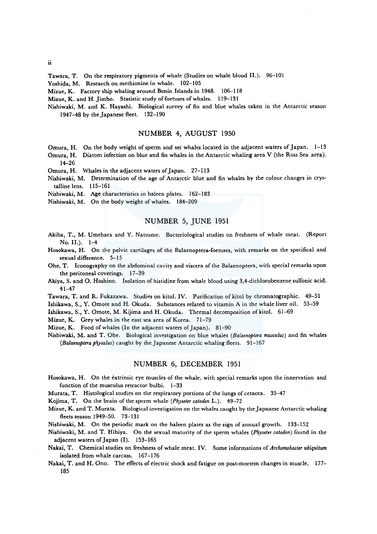Tawara, T. On the respiratory pigments of whale (Studies on whale blood II.). 96-101

Yoshida, M. Research on methionine in whale. 102-105

Mizue, K. Factory ship whaling around Bonin Islands in 1948. 106-118

Mizue, K. and H. Jimbo. Statistic study of foetuses of whales. 119-131

Nishiwaki, M. and K. Hayashi. Biological survey of fin and blue whales taken in the Antarctic season 1947-48 by the Japanese fleet. 132-190

# NUMBER 4, AUGUST 1950

Omura, H. On the body weight of sperm and sei whales located in the adjacent waters of Japan. 1-13

Omura, H. Diatom infection on blue and fin whales in the Antarctic whaling area V (the Ross Sea area). 14-26

Omura, H. Whales in the adjacent waters of Japan. 27-113

- Nishiwaki, M. Determination of the age of Antarctic blue and fin whales by the colour changes in crystalline lens. 115-161
- Nishiwaki, M. Age characteristics in baleen plates. 162-183

Nishiwaki, M. On the body weight of whales. 184-209

#### NUMBER 5, JUNE 1951

- Akiba, T., M. Umehara and Y. Natsume. Bacteriological studies on freshness of whale meat. (Report  $No. II.$ ).  $1-4$
- Hosokawa, H. On the pelvic cartilages of the Balaenoptera-foetuses, with remarks on the specifical and sexual difference. 5-15
- Ohe, T. Iconography on the abdominal cavity and viscera of the Balaenoptera, with special remarks upon the peritoneal coverings. 17-39
- Akiya, S. and O. Hoshino. Isolation of histidine from whale blood using 3,4-dichlorobenzene sulfonic acid. 41-47
- Tawara, T. and R. Fukazawa. Studies on kitol. IV. Purification of kitol by chromatographic. 49-51 Ishikawa, S., Y. Omote and H. Okuda. Substances related to vitamin A in the whale liver oil. 53-59

Ishikawa, S., Y. Omote, M. Kijima and H. Okuda. Thermal decomposition of kitol. 61-69

Mizue, K. Grey whales in the east sea area of Korea. 71-79

Mizue, K. Food of whales (In the adjacent waters of Japan). 81-90

Nishiwaki, M. and T. Ohe. Biological investigation on blue whales *(Balaenoptera musculus)* and fin whales *(Balaenoptera physalus)* caught by the Japanese Antarctic whaling fleets. 91-167

# NUMBER 6, DECEMBER 1951

Hosokawa, H. On the extrinsic eye muscles of the whale. with special remarks upon the innervation and function of the musculus retractor bulbi. 1-33

Murata, T. Histological studies on the respiratory portions of the lungs of cetacea. 35-47

Kojima, T. On the brain of the sperm whale *(Physeter catodon* L.). 49-72

Mizue, K. and T. Murata. Biological investigation on the whales caught by the Japanese Antarctic whaling fleets season 1949-50. 73-131

Nishiwaki, M. On the periodic mark on the haleen plates as the sign of annual growth. 133-152

Nishiwaki, M. and T. Hibiya. On the sexual maturity of the sperm whales (Physeter catodon) found in the adjacent waters of Japan (I). 153-165

Nakai, T. Chemical studies on freshness of whale meat. IV. Some informations of *Archomobacter ubiquitum*  isolated from whale carcass. 167-176

Nakai, T. and H. Ono. The effects of electric shock and fatigue on post-mortem changes in muscle. 177- 185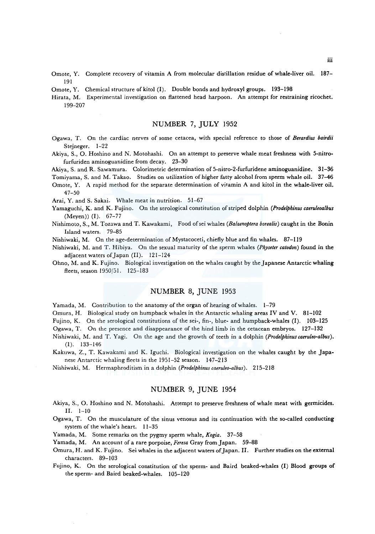- Omote, Y. Complete recovery of vitamin A from molecular distillation residue of whale-liver oil. 187- 191
- Omote, Y. Chemical structure of kitol  $(I)$ . Double bonds and hydroxyl groups. 193-198
- Hirata, M. Experimental investigation on flattened head harpoon. An attempt for restraining ricochet. 199-207

# NUMBER 7, JULY 1952

- Ogawa, T. On the cardiac nerves of some cetacea, with special reference to those of *Berardius bairdii*  Stejneger. 1-22
- Akiya, S., 0. Hoshino and N. Motohashi. On an attempt to preserve whale meat freshness with 5-nitrofurfuriden aminoguanidine from decay. 23-30
- Akiya, S. and R. Sawamura. Colorimetric determination of 5-nitro-2-furfuridene aminoguanidine. 31-36

Tomiyama, S. and M. Takao. Studies on utilization of higher fatty alcohol from sperm whale oil. 37-46

Omote, Y. A rapid method for the separate determination of vitamin A and kitol in the whale-liver oil. 47-50

Arai, Y. and S. Sakai. Whale meat in nutrition. 51-67

- Yamaguchi, K. and K. Fujino. On the serological constitution of striped dolphin *(Prodelphinus caeruleoalbus*  (Meyen)) (I). 67-77
- Nishimoto, S., M. Tozawa and T. Kawakami, Food ofsei whales *(Balaenoptera borealis)* caught in the Bonin Island waters. 79-85
- Nishiwaki, M. On the age-determination of Mystacoceti, chiefly blue and fin whales. 87-119
- Nishiwaki, M. and T. Hibiya. On the sexual maturity of the sperm whales *(Physeter catodon)* found in the adjacent waters of Japan (II). 121-124
- Ohno, M. and K. Fujino. Biological investigation on the whales caught by the Japanese Antarctic whaling fleets, season 1950/51. 125-183

# NUMBER 8, JUNE 1953

Yamada, M. Contribution to the anatomy of the organ of hearing of whales. 1-79

Omura, H. Biological study on humpback whales in the Antarctic whaling areas IV and V. 81-102

Fujino, K. On the serological constitutions of the sei-, fin-, blue- and humpback-whales (I). 103-125

Ogawa, T. On the presence and disappearance of the hind limb in the cetacean embryos. 127-132

- Nishiwaki, M. and T. Yagi. On the age and the growth of teeth in a dolphin *(Prodelphinuscaeruleo-albus).*  (I). 133-146
- Kakuwa, Z., T. Kawakami and K. Iguchi. Biological investigation on the whales caught by the Japanese Antarctic whaling fleets in the 1951-52 season. 147-213
- Nishiwaki, M. Hermaphroditism in a dolphin *(Prodelphinus caeruleo-albus).* 215-218

# NUMBER 9, JUNE 1954

- Akiya, S., 0. Hoshino and N. Motohashi. Attempt to preserve freshness of whale meat with germicides. II. 1-10
- Ogawa, T. On the musculature of the sinus venosus and its continuation with the so-called conducting system of the whale's heart. 11-35

Yamada, M. Some remarks on the pygmy sperm whale, *Kogia.* 37-58

Yamada, M. An account of a rare porpoise, *Feresa* Gray from Japan. 59-88

- Omura, H. and K. Fujino. Sei whales in the adjacent waters of Japan. II. Further studies on the external characters. 89-103
- Fujino, K. On the serological constitution of the sperm- and Baird beaked-whales (I) Blood groups of the sperm- and Baird beaked-whales. 105-120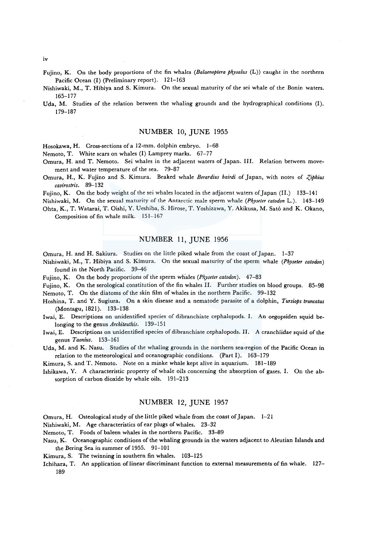- Fujino, K. On the body proportions of the fin whales *(Balaenoptera physalus* (L)) caught in the northern Pacific Ocean (I) (Preliminary report). 121-163
- Nishiwaki, M., T. Hibiya and S. Kimura. On the sexual maturity of the sei whale of the Bonin waters. 165-177
- Uda, M. Studies of the relation between the whaling grounds and the hydrographical conditions (I). 179-187

### NUMBER 10, JUNE I955

Hosokawa, H. Cross-sections of a 12-mm. dolphin embryo. 1-68

Nemoto, T. White scars on whales (I) Lamprey marks. 67-77

- Omura, H. and T. Nemoto. Sei whales in the adjacent waters of Japan. III. Relation between movement and water temperature of the sea. 79-87
- Omura, H., K. Fujino and S. Kimura. Beaked whale *Berardius bairdi* of Japan, with notes of *Ziphius cavirostris.* 89-132

Fujino, K. On the body weight of the sei whales located in the adjacent waters of Japan (II.) 133-141

Nishiwaki, M. On the sexual maturity of the Antarctic male sperm whale *(Physeter catodon* L.). 143-149

Ohta, K., T. Watarai, T. Oishi, Y. Ueshiba, S. Hirose, T. Yoshizawa, Y. Akikusa, M. Sato and K. Okano, Composition of fin whale milk. 151-167

# NUMBER 11, JUNE 1956

Omura, H. and H. Sakiura. Studies on the little piked whale from the coast of Japan. 1-37

- Nishiwaki, M., T. Hibiya and S. Kimura. On the sexual maturity of the sperm whale *(Physeter catodon)* found in the North Pacific. 39-46
- Fujino, K. On the body proportions of the sperm whales *(Physeter catodon)*. 47-83
- Fujino, K. On the serological constitution of the fin whales II. Further studies on blood groups. 85-98 Nemoto, T. On the diatoms of the skin film of whales in the northern Pacific. 99-132
- Hoshina, T. and Y. Sugiura. On a skin disease and a nematode parasite of a dolphin, *Tursiops truncatus*  (Montagu, 1821). 133-138
- Iwai, E. Descriptions on unidentified species of dibranchiate cephalopods. I. An oegopsiden squid belonging to the genus *Architeuthis.* 139-151
- Iwai, E. Descriptions on unidentified species of dibranchiate cephalopods. II. A cranchiidae squid of the genus *Taonius.* 153-161

Uda, M. and K. Nasu. Studies of the whaling grounds in the northern sea-region of the Pacific Ocean in relation to the meteorological and oceanographic conditions. (Part I). 163-179

Kimura, S. and T. Nemoto. Note on a minke whale kept alive in aquarium. 181-189

Ishikawa, Y. A characteristic property of whale oils concerning the absorption of gases. I. On the absorption of carbon dioxide by whale oils. 191-213

# NUMBER I2, JUNE I957

Omura, H. Osteological study of the little piked whale from the coast of Japan. 1-21

Nishiwaki, M. Age characteristics of ear plugs of whales. 23-32

Nemoto, T. Foods of baleen whales in the northern Pacific. 33-89

Nasu, K. Oceanographic conditions of the whaling grounds in the waters adjacent to Aleutian Islands and the Bering Sea in summer of 1955. 91-101

Kimura, S. The twinning in southern fin whales. 103-125

Ichihara, T. An application of linear discriminant function to external measurements of fin whale. 127- 189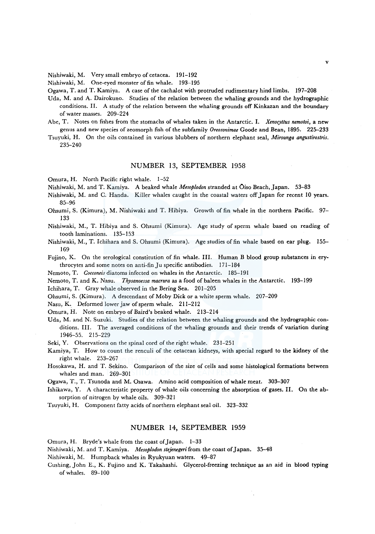Nishiwaki, M. Very small embryo of cetacea. 191-192

Nishiwaki, M. One-eyed monster of fin whale. 193-195

Ogawa, T. and T. Kamiya. A case of the cachalot with protruded rudimentary hind limbs. 197-208

- Uda, M. and A. Dairokuno. Studies of the relation between the whaling grounds and the hydrographic conditions. II. A study of the relation between the whaling grounds off Kinkazan and the boundary of water masses. 209-224
- Abe, T. Notes on fishes from the stomachs of whales taken in the Antarctic. I. *Xenocyttus nemotoi,* a new genus and new species of zeomorph fish of the subfamily *Oreosonimae* Goode and Bean, 1895. 225-233
- Tsuyuki, H. On the oils contained in various blubbers of northern elephant seal, *Mirounga angustirostris.*  235-240

#### NUMBER 13, SEPTEMBER 1958

Omura, H. North Pacific right whale. 1-52

Nishiwaki, M. and T. Kamiya. A beaked whale *Mesoplodon* stranded at Oiso Beach, Japan. 53-83

- Nishiwaki, M. and C. Banda. Killer whales caught in the coastal waters off Japan for recent 10 years. 85-96
- Ohsumi, S. (Kimura), M. Nishiwaki and T. Hibiya. Growth of fin whale in the northern Pacific. 97- 133
- Nishiwaki, M., T. Hibiya and S. Ohsumi (Kimura). Age study of sperm whale based on reading of tooth laminations. 135-153
- Nishiwaki, M., T. lchihara and S. Ohsumi (Kimura). Age studies of fin whale based on ear plug. 155- 169

Fujino, K. On the serological constitution of fin whale. III. Human B blood group substances in erythrocytes and some notes on anti-fin Ju specific antibodies. 171-184

Nemoto, T. *Cocconeis* diatoms infected on whales in the Antarctic. 185-191

Nemoto, T. and K. Nasu. *Thysanoessa macrura* as a food of baleen whales in the Antarctic. 193-199

lchihara, T. Gray whale observed in the Bering Sea. 201-205

Ohsumi, S. (Kimura). A descendant of Moby Dick or a white sperm whale. 207-209

Nasu, K. Deformed lower jaw of sperm whale. 211-212

Omura, H. Note on embryo of Baird's beaked whale. 213-214

Uda, M. and N. Suzuki. Studies of the relation between the whaling grounds and the hydrographic conditions. III. The averaged conditions of the whaling grounds and their trends of variation during 1946-55. 215-229

Seki, Y. Observations on the spinal cord of the right whale. 231-251

Kamiya, T. How to count the renculi of the cetacean kidneys, with special regard to the kidney of the right whale. 253-267

Hosokawa, H. and T. Sekino. Comparison of the size of cells and some histological formations between whales and man. 269-301

Ogawa, T., T. Tsunoda and M. Osawa. Amino acid composition of whale meat. 303-307

- Ishikawa, Y. A characteristic property of whale oils concerning the absorption of gases. II. On the absorption of nitrogen by whale oils. 309-321
- Tsuyuki, H. Component fatty acids of northern elephant seal oil. 323-332

# NUMBER 14, SEPTEMBER 1959

Omura, H. Bryde's whale from the coast of Japan. 1-33

Nishiwaki, M. and T. Kamiya. *Mesoplodon stejenegeri* from the coast of Japan. 35-48

Nishiwaki, M. Humpback whales in Ryukyuan waters. 49-87

Cushing, John E., K. Fujino and K. Takahashi. Glycerol-freezing technique as an aid in blood typing of whales. 89-100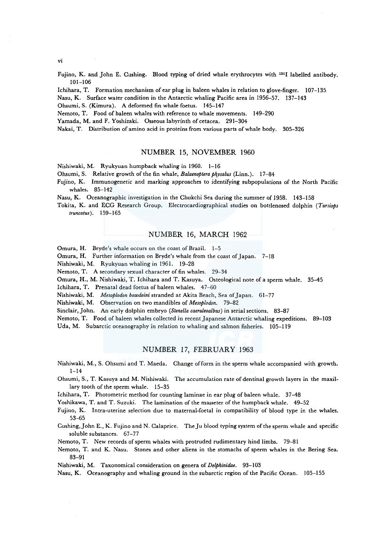vi

Fujino, K. and John E. Cushing. Blood typing of dried whale erythrocytes with 1311 labelled antibody. 101-106

lchihara, T. Formation mechanism of ear plug in baleen whales in relation to glove-finger. 107-135

- Nasu, K. Surface water condition in the Antarctic whaling Pacific area in 1956-57. 137-143
- Ohsumi, S. (Kimura). A deformed fin whale foetus. 145-147

Nemoto, T. Food of baleen whales with reference to whale movements. 149-290

Yamada, M. and F. Yoshizaki. Osseous labyrinth of cetacea. 291-304

Nakai, T. Distribution of amino acid in proteins from various parts of whale body. 305-326

# NUMBER 15, NOVEMBER 1960

Nishiwaki, M. Ryukyuan humpback whaling in 1960. 1-16

Ohsumi, S. Relative growth of the fin whale, *Balaenoptera ph\_vsalus* (Linn.). 17-84

Fujino, K. Immunogenetic and marking approaches to identifying subpopulations of the North Pacific whales. 85-142

Nasu, K. Oceanographic investigation in the Chukchi Sea during the summer of 1958. 143-158

Tokita, K. and ECG Research Group. Electrocardiographical studies on bottlenosed dolphin *(Tursiops truncatus).* 159-165

# NUMBER 16, MARCH 1962

Omura, H. Bryde's whale occurs on the coast of Brazil. 1-5

Omura, H. Further information on Bryde's whale from the coast of Japan. 7-18

Nishiwaki, M. Ryukyuan whaling in 1961. 19-28

Nemoto, T. A secondary sexual character of fin whales. 29-34

Omura, H., M. Nishiwaki, T. Ichihara and T. Kasuya. Osteological note of a sperm whale. 35-45

lchihara, T. Prenatal dead foetus of baleen whales. 47-60

Nishiwaki, M. *Mesoplodon bowdoini* stranded at Akita Beach, Sea of Japan. 61-77

Nishiwaki, M. Observation on two mandibles of *Mesoplodon.* 79-82

Sinclair, John. An early dolphin embryo *(Stenella caeruleoalbus)* in serial sections. 83-87

Nemoto, T. Food of baleen whales collected in recent Japanese Antarctic whaling expeditions. 89-103

Uda, M. Subarctic oceanography in relation to whaling and salmon fisheries. 105-119

# NUMBER 17, FEBRUARY 1963

- Nishiwaki, M., S. Ohsumi and T. Maeda. Change of form in the sperm whale accompanied with growth.  $1 - 14$
- Ohsumi, S., T. Kasuya and M. Nishiwaki. The accumulation rate of dentinal growth layers in the maxillary tooth of the sperm whale. 15-35

lchihara, T. Photometric method for counting laminae in ear plug of baleen whale. 37-48

Yoshikawa, T. and T. Suzuki. The lamination of the masseter of the humpback whale. 49-52

Fujino, K. Intra-uterine selection due to maternal-foetal in compatibility of blood type in the whales. 53-65

Cushing, John E., K. Fujino and N. Calaprire. The Ju blood typing system of the sperm whale and specific soluble substances. 67-77

Nemoto, T. New records of sperm whales with protruded rudimentary hind limbs. 79-81

Nemoto, T. and K. Nasu. Stones and other aliens in the stomachs of sperm whales in the Bering Sea. 83-91

Nishiwaki, M. Taxonomical consideration on genera of *Delphinidae.* 93-103

Nasu, K. Oceanography and whaling ground in the subarctic region of the Pacific Ocean. 105-155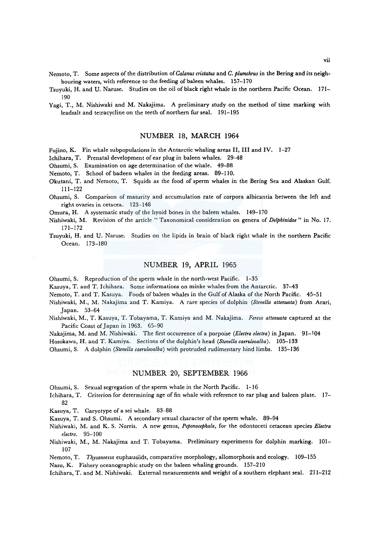- Nemoto, T. Some aspects of the distribution of *Ca/anus cristatus* and *C. plumchrus* in the Bering and its neigh· bouring waters, with reference to the feeding of baleen whales. 157-170
- Tsuyuki, H. and U. Naruse. Studies on the oil of black right whale in the northern Pacific Ocean. 171- 190
- Yagi, T., M. Nishiwaki and M. Nakajima. A preliminary study on the method of time marking with leadsalt and tetracycline on the teeth of northern fur seal. 191-195

#### NUMBER 18, MARCH 1964

Fujino, K. Fin whale subpopulations in the Antarctic whaling areas II, III and IV. 1-27

Ichihara, T. Prenatal development of ear plug in baleen whales. 29-48

Ohsumi, S. Examination on age determination of the whale. 49-88

Nemoto, T. School of badeen whales in the feeding areas. 89-110.

- Okutani, T. and Nemoto, T. Squids as the food of sperm whales in the Bering Sea and Alaskan Gulf. 111-122
- Ohsumi, S. Comparison of maturity and accumulation rate of corpora albicantia between the left and right ovaries in cetacea. 123-148

Omura, H. A systematic study of the hyoid bones in the baleen whales. 149-170

- Nishiwaki, M. Revision of the article " Taxonomical consideration on genera of *Delphinidae"* in No. 17. 171-172
- Tsuyuki, H. and U. Naruse. Studies on the lipids in brain of black right whale in the northern Pacific Ocean. 173-180

#### NUMBER 19, APRIL 1965

Ohsumi, S. Reproduction of the sperm whale in the north-west Pacific. 1-35

Kasuya, T. and T. Ichihara. Some informations on minke whales from the Antarctic. 37-43

Nemoto, T. and T. Kasuya. Foods of baleen whales in the Gulf of Alaska of the North Pacific. 45-51

- Nishiwaki, M., M. Nakajima and T. Kamiya. A rare species of dolphin *(Stenella attenuata)* from Arari, Japan. 53-64
- Nishiwaki, M., T. Kasuya, T. Tobayama, T. Kamiya and M. Nakajima. *Feresa altenuata* captured at the Pacific Coast of Japan in 1963. 65-90

Nakajima, M. and M. Nishiwaki. The first occurrence ofa porpoise *(Electra electra)* in Japan. 91-104

Hosokawa, H. and T. Kamiya. Sections of the dolphin's head *(Stene/la caeruleoalba),* 105-133

Ohsumi, S. A dolphin *(Stenella caeruleoalba)* with protruded rudimentary hind limbs. 135-136

## NUMBER 20, SEPTEMBER 1966

- Ohsumi, S. Sexual segregation of the sperm whale in the North Pacific. 1-16
- Ichihara, T. Criterion for determining age of fin whale with reference to ear plug and baleen plate. 17- 82
- Kasuya, T. Caryotype of a sei whale. 83-88
- Kasuya, T. and S. Ohsumi. A secondary sexual character of the sperm whale. 89-94
- Nishiwaki, M. and K. S. Norris. A new genus, *Peponocephala,* for the odontoceti cetacean species *Electra electra.* 95-100
- Nishiwaki, M., M. Nakajima and T. Tobayama. Preliminary experiments for dolphin marking. 101- 107
- Nemoto, T. *Thysanoessa* euphausiids, comparative morphology, allomorphosis and ecology. 109-155

Nasu, K. Fishery oceanographic study on the baleen whaling grounds. 157-210

Ichihara, T. and M. Nishiwaki. External measurements and weight of a southern elephant seal. 211-212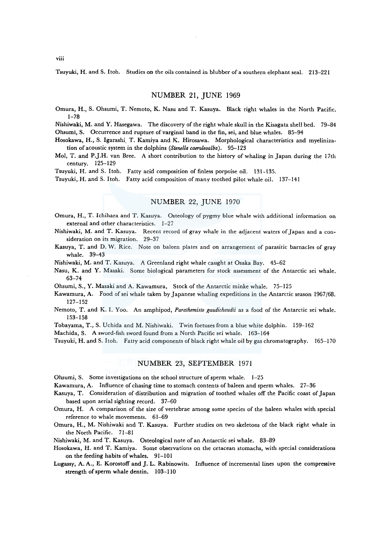Tsuyuki, H. and S. Itoh. Studies on the oils contained in blubber of a southern elephant seal. 213-221

# NUMBER 21, JUNE 1969

Omura, H., S. Ohsumi, T. Nemoto, K. Nasu and T. Kasuya. Black right whales in the North Pacific. 1-78

Nishiwaki, M. and Y. Hasegawa. The discovery of the right whale skull in the Kisagata shell bed. 79-84 Ohsumi, S. Occurrence and rupture of varginal band in the fin, sei, and blue whales. 85-94

Hosokawa, H., S. Igarashi. T. Kamiya and K. Hirosawa. Morphological characteristics and myelinization of acoustic system in the dolphins *(Stene/la caeruleoalba).* 95-123

Mol, T. and P.J.H. van Bree. A short contribution to the history of whaling in Japan during the 17th century. 125-129

Tsuyuki, H. and S. Itoh. Fatty acid composition of finless porpoise oil. 131-135.

Tsuyuki, H. and S. Itoh. Fatty acid composition of many toothed pilot whale oil. 137-141

## NUMBER 22, JUNE 1970

Omura, H., T. lchihara and T. Kasuya. Osteology of pygmy blue whale with additional information on external and other characteristics. 1-27

Nishiwaki, M. and T. Kasuya. Recent record of gray whale in the adjacent waters of Japan and a consideration on its migration. 29-37

Kasuya, T. and D. W. Rice. Note on baleen plates and on arrangement of parasitic barnacles of gray whale. 39-43

Nishiwaki, M. and T. Kasuya. A Greenland right whale caught at Osaka Bay. 45-62

Nasu, K. and Y. Masaki. Some biological parameters for stock assessment of the Antarctic sei whale. 63-74

Ohsumi, S., Y. Masaki and A. Kawamura, Stock of the Antarctic minke whale. 75-125

Kawamura, A. Food of sei whale taken by Japanese whaling expeditions in the Antarctic season 1967 /68. 127-152

Nemoto, T. and K. I. Yoo. An amphipod, *Parathemisto gaudichaudii* as a food of the Antarctic sei whale. 153-158

Tobayama, T., S. Uchida and M. Nishiwaki. Twin foetuses from a blue white dolphin. 159-162

Machida, S. A sword-fish sword found from a North Pacific sei whale. 163-164

Tsuyuki, H. and S. Itoh. Fatty acid components of black right whale oil by gas chromatography. 165-170

#### NUMBER 23, SEPTEMBER 1971

Ohsumi, S. Some investigations on the school structure of sperm whale. 1-25

Kawamura, A. Influence of chasing time to stomach contents of baleen and sperm whales. 27-36

Kasuya, T. Consideration of distribution and migration of toothed whales off the Pacific coast of Japan based upon aerial sighting record. 37-60

Omura, H. A comparison of the size of vertebrae among some species of the baleen whales with special reference to whale movements. 61-69

Omura, H., M. Nishiwaki and T. Kasuya. Further studies on two skeletons of the black right whale in the North Pacific. 71-81

Nishiwaki, M. and T. Kasuya. Osteological note of an Antarctic sei whale. 83-89

Hosokawa, H. and T. Kamiya. Some observations on the cetacean stomachs, with special considerations on the feeding habits of whales. 91-101

Lugassy, A. A., E. Korostoff and J. L. Rabinowits. Influence of incremental lines upon the compressive strength of sperm whale dentin. 103-110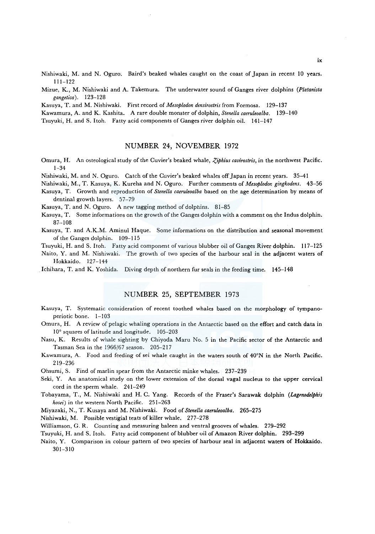Nishiwaki, M. and N. Oguro. Baird's beaked whales caught on the coast of Japan in recent 10 years. 111-122

Mizue, K., M. Nishiwaki and A. Takemura. The underwater sound of Ganges river dolphins *(Platanista gangetica).* 123-128

Kasuya, T. and M. Nishiwaki. First record of *Mesoplodon densirostris* from Formosa. 129-137

Kawamura, A. and K. Kashita. A rare double monster of dolphin, *Stene/la caeruleoalba.* 139-140

Tsuyuki, H. and S. Itoh. Fatty acid components of Ganges river dolphin oil. 141-147

# NUMBER 24, NOVEMBER 1972

Omura, H. An osteological study of the Cuvier's beaked whale, *Ziphius cavirostris*, in the northwest Pacific. 1-34

Nishiwaki, M. and N. Oguro. Catch of the Cuvier's beaked whales off Japan in recent years. 35-41

Nishiwaki, M., T. Kasuya, K. Kureha and N. Oguro. Further comments of *Mesoplodon gingkodens.* 43-56 Kasuya, T. Growth and reproduction of *Stene/la caeruleoalba* based on the age determination by means of dentinal growth layers. 57-79

Kasuya, T. and N. Oguro. A new tagging method of dolphins. 81-85

Kasuya, T. Some informations on the growth of the Ganges dolphin with a comment on the Indus dolphin. 87-108

Kasuya, T. and A.K.M. Aminul Haque. Some informations on the distribution and seasonal movement of the Ganges dolphin. 109-115

Tsuyuki, H. and S. Itoh. Fatty acid component of various blubber oil of Ganges River dolphin. 117-125

Naito, Y. and M. Nishiwaki. The growth of two species of the harbour seal in the adjacent waters of Hokkaido. 127-144

Ichihara, T. and K. Yoshida. Diving depth of northern fur seals in the feeding time. 145-148

# NUMBER 25, SEPTEMBER 1973

Kasuya, T. Systematic consideration of recent toothed whales based on the morphology of tympanoperiotic bone. 1-103

Omura, H. A review of pelagic whaling operations in the Antarctic based on the effort and catch data in 10° squares of latitude and longitude. 105-203

- Nasu, K. Results of whale sighting by Chiyoda Maru No. 5 in the Pacific sector of the Antarctic and Tasman Sea in the 1966/67 season. 205-217
- Kawamura, A. Food and feeding of sei whale caught in the waters south of 40°N in the North Pacific. 219-236

Ohsumi, S. Find of marlin spear from the Antarctic minke whales. 237-239

- Seki, Y. An anatomical study on the lower extension of the dorasl vagal nucleus to the upper cervical cord in the sperm whale. 241-249
- Tobayama, T., M. Nishiwaki and H. C. Yang. Records of the Fraser's Sarawak dolphin *(Lagmodelphis hosei)* in the western North Pacific. 251-263

Miyazaki, N., T. Kusaya and M. Nishiwaki. Food of *Stene/la caeruleoalba.* 265-275

Nishiwaki, M. Possible vestigial teats of killer whale. 277-278

Williamson, G. R. Counting and measuring baleen and ventral grooves of whales. 279-292

Tsuyuki, H. and S. Itoh. Fatty acid component of blubber oil of Amazon River dolphin. 293-299

Naito, Y. Comparison in colour pattern of two species of harbour seal in adjacent waters of Hokkaido. 301-310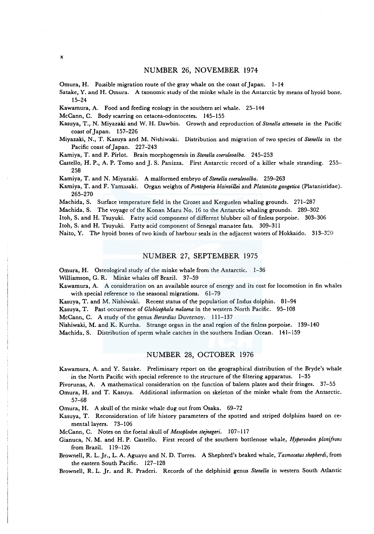#### NUMBER 26, NOVEMBER 1974

Omura, H. Possible migration route of the gray whale on the coast of Japan. 1-14

Satake, Y. and H. Omura. A txonomic study of the minke whale in the Antarctic by means of hyoid bone. 15-24

Kawamura, A. Food and feeding ecology in the southern sei whale. 25-144

McCann, C. Body scarring on cetacea-odontocetes. 145-155

Kasuya, T., N. Miyazaki and W. H. Dawbin. Growth and reproduction of *Stene/la attenuata* in the Pacific coast of Japan. 157-226

Miyazaki, N., T. Kasuya and M. Nishiwaki. Distribution and migration of two species of *Stenella* in the Pacific coast of Japan. 227-243

Kamiya, T. and P. Pirlot. Brain morphogenesis in *Stene/la coeruleoalba.* 245-253

Castello, H.P., A. P. Torno and J. S. Panizza. First Antarctic record of a killer whale stranding. 255- 258

Kamiya, T. and N. Miyazaki. A malformed embryo of *Stenella coeruleoalba.* 259-263

Kamiya, T. and F. Yamasaki. Organ weights of *Pontoporia blainvillei* and *Platanista gangetica* (Platanistidae). 265-270

Machida, S. Surface temperature field in the Crozet and Kerguelen whaling grounds. 271-287

Machida, S. The voyage of the Konan Maru No. 16 to the Antarctic whaling grounds. 289-302

Itoh, S. and H. Tsuyuki. Fatty acid component of different blubber oil of finless porpoise. 303-306

Itoh, S. and H. Tsuyuki. Fatty acid component of Senegal manatee fats. 309-311

Naito, Y. The hyoid bones of two kinds of harbour seals in the adjacent waters of Hokkaido. 313-320

## NUMBER 27, SEPTEMBER 1975

Omura, H. Osteological study of the minke whale from the Antarctic. 1-36

Williamson, G. R. Minke whales off Brazil. 37-59

Kawamura, A. A consideration on an available source of energy and its cost for locomotion in fin whales with special reference to the seasonal migrations. 61-79

Kasuya, T. and M. Nishiwaki. Recent status of the population of Indus dolphin. 81-94

Kasuya, T. Past occurrence of *Globicephala melaena* in the western North Pacific. 95-108

McCann, C. A study of the genus *Berardius* Duvernoy. 111-137

Nishiwaki, M. and K. Kureha. Strange organ in the anal region of the finless porpoise. 139-140 Machida, S. Distribution of sperm whale catches in the southern Indian Ocean. 141-159

# NUMBER 28, OCTOBER 1976

Kawamura, A. and Y. Satake. Preliminary report on the geographical distribution of the Bryde's whale in the North Pacific with special reference to the structure of the filtering apparatus. 1-35

Pivorunas, A. A mathematical consideration on the function of baleen plates and their fringes. 37-55

Omura, H. and T. Kasuya. Additional information on skeleton of the minke whale from the Antarctic. 57-68

Omura, H. A skull of the minke whale dug out from Osaka. 69-72

Kasuya, T. Reconsideration of life history parameters of the spotted and striped dolphins based on cemental layers. 73-106

McCann, C. Notes on the foetal skull of *Mesoplodon stejnegeri.* 107-117

Gianuca, N. M. and H. P. Castello. First record of the southern bottlenose whale, *Hyperoodon planifrons*  from Brazil. 119-126

Brownell, R. L. Jr., L. A. Aguayo and N. D. Torres. A Shepherd's beaked whale, *Tasmacetus shepherdi,* from the eastern South Pacific. 127-128

Brownell, R. L. Jr. and R. Praderi. Records of the delphinid genus *Stenella* in western South Atlantic

x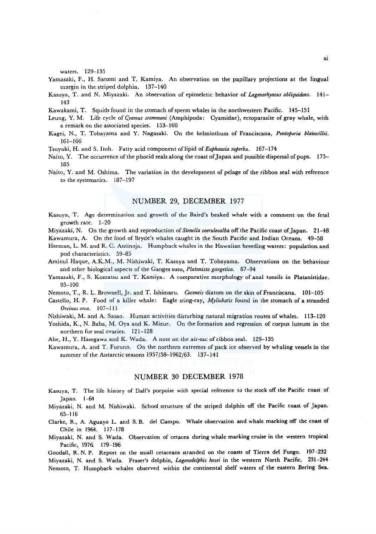waters. 129-135

- Yamasaki, F., H. Satomi and T. Kamiya. An observation on the papillary projections at the lingual margin in the striped dolphin. 137-140
- Kasuya, T. and N. Miyazaki. An observation of epimeletic behavior of *Lagenorhyncus obliquidens.* 141- 143
- Kawakami, T. Squids found in the stomach of sperm whales in the northwestern Pacific. 145-151
- Leung, Y. M. Life cycle of *Qvamus scammoni* (Amphipoda: Cyamidae), ectoparasite of gray whale, with a remark on the associated species. 153-160
- Kagei, N., T. Tobayama and Y. Nagasaki. On the helminthum of Franciscana, *Pontoporia blainvillei.*  161-166
- Tsuyuki, H. and S. Itoh. Fatty acid component oflipid of *Euphausia superba.* 167-174
- Naito, Y. The occurrence of the phocid seals along the coast of Japan and possible dispersal of pups. 175-185
- Naito, Y. and M. Oshima. The variation in the development of pelage of the ribbon seal with reference to the systematics. 187-197

# NUMBER 29, DECEMBER 1977

- Kasuya, T. Age determination and growth of the Baird's beaked whale with a comment on the feta! growth rate. 1-20
- Miyazaki, N. On the growth and reproduction of *Stenella coeruleoalba* off the Pacific coast of Japan. 21-48 Kawamura, A. On the food of Bryde's whales caught in the South Pacific and Indian Oceans. 49-58
- Herman, L. M. and R. C. Antinoja. Humpback whales in the Hawaiian breeding waters: population and pod characteristics. 59-85
- Aminul Haque, A.K.M., M. Nishiwaki, T. Kasuya and T. Tobayama. Observations on the behaviour and other biological aspects of the Ganges susu, *Platanista gangetica.* 87-94
- Yamasaki, F., S. Komatsu and T. Kamiya. A comparative morphology of anal tonsils in Platanistidae. 95-100
- Nemoto, T., R. L. Brownell, Jr. and T. Ishimaru. *Coconeis* diatom on the skin of Franciscana. 101-105
- Castello, H.P. Food of a killer whale: Eagle sting-ray, *Myliobatis* found in the stomach of a stranded *Orcinus orca.* 107-111
- Nishiwaki, M. and A. Sasao. Human activities disturbing natural migration routes of whales. 113-120
- Yoshida, K., N. Baba, M. Oya and K. Mizue. On the formation and regression of corpus luteum in the northern fur seal ovaries. 121-128
- Abe, H., Y. Hasegawa and K. Wada. A note on the air-sac of ribbon seal. 129-135
- Kawamura, A. and T. Furuno. On the northern extremes of pack ice observed by whaling vessels in the summer of the Antarctic seasons 1957/58-1962/63. 137-141

## NUMBER 30 DECEMBER 1978

- Kasuya, T. The life history of Dall's porpoise with special reference to the stock off the Pacific coast of Japan. l-64
- Miyazaki, N. and M. Nishiwaki. School structure of the striped dolphin off the Pacific coast of Japan. 65-116
- Clarke, R., A. Aguayo L. and S. B. de! Campo. Whale observation and whale marking off the coast of Chile in 1964. 117-178
- Miyazaki, N. and S. Wada. Observation of cetacea during whale marking cruise in the western tropical Pacific, 1976. 179-196

Goodall, R. N. P. Report on the small cetaceans stranded on the coasts of Tierra del Fuego. 197-232 Miyazaki, N. and S. Wada. Fraser's dolphin, *Lagenodelphis hosei* in the western North Pacific. 231-244 Nemoto, T. Humpback whales observed within the continental shelf waters of the eastern Bering Sea.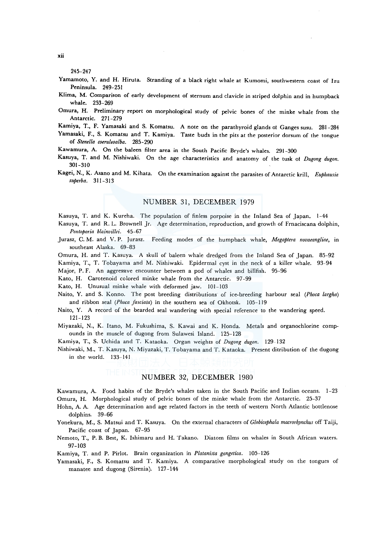245-247

- Yamamoto, Y. and H. Hiruta. Stranding of a black right whale at Kumomi, southwestern coast of lzu Peninsula. 249-251
- Klima, M. Comparison of early development of sternum and clavicle in striped dolphin and in humpback whale. 253-269
- Omura, H. Preliminary report on morphological study of pelvic bones of the minke whale from the Antarctic. 271-279
- Kamiya, T., F. Yamasaki and S. Komatsu. A note on the parathyroid glands ol Ganges susu. 281-284
- Yamasaki, F., S. Komatsu and T. Kamiya. Taste buds in the pits at the posterior dorsum of the tongue of *Stenella coeruleoalba.* 285-290
- Kawamura, A. On the baleen filter area in the South Pacific Bryde's whales. 291-300
- Kasuya, T. and M. Nishiwaki. On the age characteristics and anatomy of the tusk of Dugong dugon. 301-310
- Kagei, N., K. Asano and M. Kihata. On the examination against the parasites of Antarctic krill, *Euphausia superba.* 311-313

## NUMBER 31, DECEMBER 1979

Kasuya, T. and K. Kureha. The population of finless porpoise in the Inland Sea of Japan. 1-44

Kasuya, T. and R. L. Brownell Jr. Age determination, reproduction, and growth of Frnaciscana dolphin, *Po11toporia blainvillei.* 45-67

- Jurasz, C. M. and V. P. Jurasz. Feeding modes of the humpback whale, Megaptera novaeangliae, in southeast Alaska. 69-83
- Omura, H. and T. Kasuya. A skull of baleen whale dredged from the Inland Sea of Japan. 85-92

Kamiya, T., T. Tobayama and M. Nishiwaki. Epidermal cyst in the neck of a killer whale. 93-94

Major, P. F. An aggressive encounter between a pod of whales and billfish. 95-96

Kato, H. Carotenoid colored minke whale from the Antarctic. 97-99

Kato, H. Unusual minke whale with deformed jaw. 101-103

- Naito, Y. and S. Konno. The post breeding distributions of ice-breeding harbour seal *(Phoca largha)*  and ribbon seal *(Phoca fasciata)* in the southern sea of Okhotsk. 105-119
- Naito, Y. A record of the bearded seal wandering with special reference to the wandering speed. 121-123
- Miyazaki, N., K. Itano, M. Fukushima, S. Kawai and K. Honda. Metals and organochlorine compounds in the muscle of dugong from Sulawesi Island. 125-128

Kamiya, T., S. Uchida and T. Kataoka. Organ weights of *Dugong dugon.* 129-132

Nishiwaki, M., T. Kasuya, N. Miyazaki, T. Tobayama and T. Kataoka. Present ditribution of the dugong in the world. 133-141

### NUMBER 32, DECEMBER 1980

Kawamura, A. Food habits of the Bryde's whales taken in the South Pacific and Indian oceans. 1-23 Omura, H. Morphological study of pelvic bones of the minke whale from the Antarctic. 25-37

Hohn, A. A. Age determination and age related factors in the teeth of western North Atlantic bottlenose dolphins. 39-66

- Yonekura, M., S. Matsui and T. Kasuya. On the external characters of *Globicephala macrorhynchus* off Taiji, Pacific coast of Japan. 67-95
- Nemoto, T., P. B. Best, K. Ishimaru and H. Takano. Diatom films on whales in South African waters. 97-103

Kamiya, T. and P. Pirlot. Brain organization in *Platanista gangetica.* 105-126

Yamasaki, F., S. Komatsu and T. Kamiya. A comparative morphological study on the tongues of manatee and dugong (Sirenia). 127-144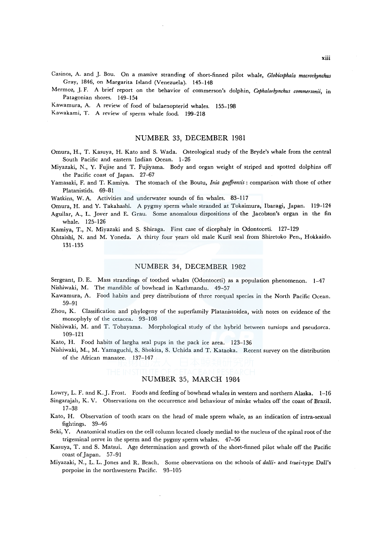- Casinos, A. and *].* Bou. On a massive stranding of short-finned pilot whale, *Globicephala macrorhynchus*  Gray, 1846, on Margarita Island (Venezuela). 145-148
- Mermoz, *].* F. A brief report on the behavior of commerson's dolphin, *Cephalorhynchus commersonii,* in Patagonian shores. 149-154

Kawamura, A. A review of food of balaenopterid whales. 155-198

Kawakami, T. A review of sperm whale food. 199-218

### NUMBER 33, DECEMBER 1981

- Omura, H., T. Kasuya, H. Kato and S. Wada. Osteological study of the Bryde's whale from the central South Pacific and eastern Indian Ocean. 1-26
- Miyazaki, N., Y. Fujise and T. Fujiyama. Body and organ weight of striped and spotted dolphins off the Pacific coast of Japan. 27-67
- Yamasaki, F. and T. Kamiya. The stomach of the Boutu, *Inia geoffrensis:* comparison with those of other Platanistids. 69-81

Watkins, W. A. Activities and underwater sounds of fin whales. 83-117

Omura, H. and Y. Takahashi. A pygmy sperm whale stranded at Tokaimura, Ibaragi, Japan. l19-124 Aguilar, A., L. Jover and E. Grau. Some anomalous dispositions of the Jacobson's organ in the fin whale. 125-126

Kamiya, T., N. Miyazaki and S. Shiraga. First case of dicephaly in Odontoceti. 127-129

Ohtaishi, N. and M. Yoneda. A thirty four years old male Kuril seal from Shiretoko Pen., Hokkaido. 131-135

#### NUMBER 34, DECEMBER 1982

Sergeant, D. E. Mass strandings of toothed whales (Odontoceti) as a population phenomenon. 1-47 Nishiwaki, M. The mandible of bowhead in Kathmandu. 49-57

- Kawamura, A. Food habits and prey distributions of three rorqual species in the North Pacific Ocean. 59-91
- Zhou, K. Classification and phylogeny of the superfamily Platanistoidea, with notes on evidence of the monophyly of the cetacea. 93-108
- Nishiwaki, M. and T. Tobayama. Morphological study of the hybrid between tursiops and pseudorca. 109-121
- Kato, H. Food habits of largha seal pups in the pack ice area. 123-136

Nishiwaki, M., M. Yamaguchi, S. Shakita, S. Uchida and T. Kataoka. Recent survey on the distribution of the African manatee. 137-147

# NUMBER 35, MARCH 1984

Lowry, L. F. and K.J. Frost. Foods and feeding of bowhead whales in western and northern Alaska. 1-16 Singarajah, K. V. Observations on the occurrence and behaviour of minke whales off the coast of Brazil.

- 17-38
- Kato, H. Observation of tooth scars on the head of male sprem whale, as an indication of intra-sexual fightings. 39-46
- Seki, Y. Anatomical studies on the cell column located closely medial to the nucleus of the spinal root of the trigeminal nerve in the sperm and the pygmy sperm whales. 47-56
- Kasuya, T. and S. Matsui. Age determination and growth of the short-finned pilot whale off the Pacific coast of Japan. 57-91
- Miyazaki, N., L. L. Jones and R. Beach. Some observations on the schools of *dalli-* and *truei-type* Dall's porpoise in the northwestern Pacific. 93-105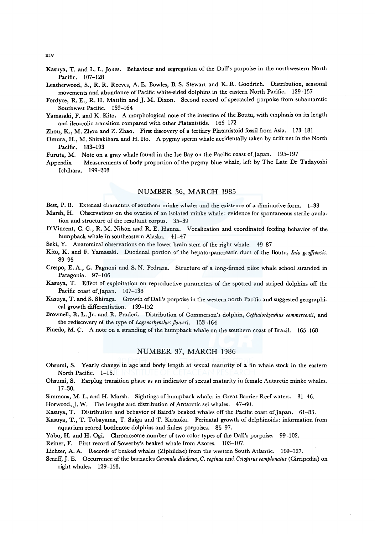Kasuya, T. and L. L. Jones. Behaviour and segregation of the Dall's porpoise in the northwestern North Pacific. 107-128

Leatherwood, S., R.R. Reeves, A. E. Bowles, B. S. Stewart and K. R. Goodrich. Distribution, seasonal movements and abundance of Pacific white-sided dolphins in the eastern North Pacific. 129-157

- Fordyce, R. E., R.H. Mattlin and J.M. Dixon. Second record of spectacled porpoise from subantarctic Southwest Pacific. 159-164
- Yamasaki, F. and K. Kito. A morphological note of the intestine of the Boutu, with emphasis on its length and ileo-colic transition compared with other Platanistids. 165-172
- Zhou, K., M. Zhou and Z. Zhao. First discovery of a tertiary Platanistoid fossil from Asia. 173-181
- Omura, H., M. Shirakihara and H. Ito. A pygmy sperm whale accidentally taken by drift net in the North Pacific. 183-193
- Furuta, M. Note on a gray whale found in the Ise Bay on the Pacific coast of Japan. 195-197
- Appendix Measurements of body proportion of the pygmy blue whale, left by The Late Dr Tadayoshi Ichihara. 199-203

# NUMBER 36, MARCH 1985

Best, P. B. External characters of southern minke whales and the existence of a diminutive form. 1-33

- Marsh, H. Observations on the ovaries of an isolated minke whale: evidence for spontaneous sterile ovulation and structure of the resultant corpus. 35-39
- D'Vincent, C. G., R. M. Nilson and R. E. Hanna. Vocalization and coordinated feeding behavior of the humpback whale in southeastern Alaska. 41-47

Seki, Y. Anatomical observations on the lower brain stem of the right whale. 49-87

- Kito, K. and F. Yamasaki. Duodenal portion of the hepato-pancreatic duct of the Boutu, *lnia geoffrensis.*  89-95
- Crespo, E. A., G. Pagnoni and S. N. Pedraza. Structure of a long-finned pilot whale school stranded in Patagonia. 97-106
- Kasuya, T. Effect of exploitation on reproductive parameters of the spotted and striped dolphins off the Pacific coast of Japan. 107-138
- Kasuya, T. and S. Shiraga. Growth of Dall's porpoise in the western north Pacific and suggested geographical growth differentiation. 139-152

Brownell, R. L. Jr. and R. Praderi. Distribution of Commerson's dolphin, *Cephalorhynchus commersonii,* and the rediscovery of the type of *Lagenorhynchus floweri.* 153-164

Pinedo, M. C. A note on a stranding of the humpback whale on the southern coast of Brazil. 165-168

# NUMBER 37, MARCH 1986

- Ohsumi, S. Yearly change in age and body length at sexual maturity of a fin whale stock in the eastern North Pacific. 1-16.
- Ohsumi, S. Earplug transition phase as an indicator of sexual maturity in female Antarctic minke whales. 17-30.

Simmons, M. L. and H. Marsh. Sightings of humpback whales in Great Barrier Reef waters. 31-46.

Horwood,]. W. The lengths and distribution of Antarctic sei whales. 47-60.

Kasuya, T. Distribution and behavior of Baird's beaked whales off the Pacific coast of Japan. 61-83.

Kasuya, T., T. Tobayama, T. Saiga and T. Kataoka. Perinatal growth of delphinoids: information from aquarium reared bottlenose dolphins and finless porpoises. 85-97.

Yabu, H. and H. Ogi. Chromosome number of two color types of the Dall's porpoise. 99-102.

Reiner, F. First record of Sowerby's beaked whale from Azores. 103-107.

Lichter, A. A. Records of beaked whales (Ziphiidae) from the western South Atlantic. 109-127.

Scarff, J. E. Occurrence of the barnacles *Coronula diadema, C. reginae* and *Cetopirus complanatus* (Cirripedia) on right whales. 129-153.

xiv